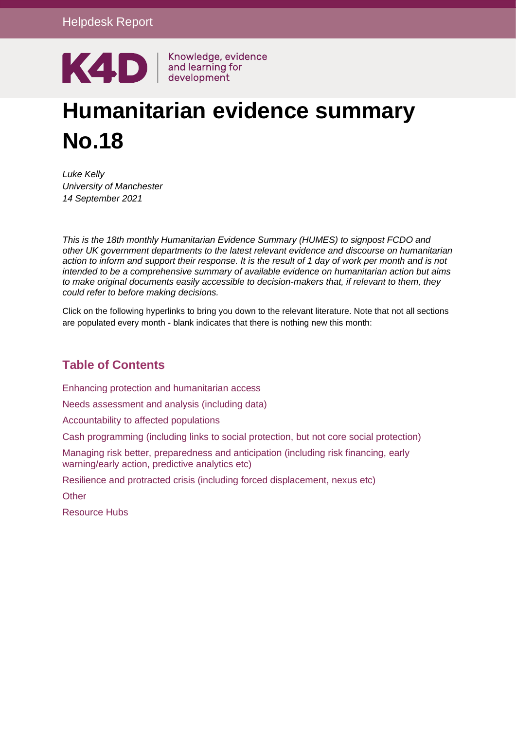

# **Humanitarian evidence summary No.18**

*Luke Kelly University of Manchester 14 September 2021*

*This is the 18th monthly Humanitarian Evidence Summary (HUMES) to signpost FCDO and other UK government departments to the latest relevant evidence and discourse on humanitarian action to inform and support their response. It is the result of 1 day of work per month and is not intended to be a comprehensive summary of available evidence on humanitarian action but aims to make original documents easily accessible to decision-makers that, if relevant to them, they could refer to before making decisions.*

Click on the following hyperlinks to bring you down to the relevant literature. Note that not all sections are populated every month - blank indicates that there is nothing new this month:

#### **Table of Contents**

Enhancing protection and [humanitarian](#page-0-0) access

Needs [assessment](#page-2-0) and analysis (including data)

[Accountability](#page-3-0) to affected population[s](#page-3-0)

Cash [programming](#page-3-1) (including links to social protection, but not core social protection[\)](#page-3-1)

Managing risk better, [preparedness](#page-5-0) and anticipation (including risk financing, early [warning/early](#page-5-0) action, predictive analytics etc)

Resilience and protracted crisis (including forced [displacement,](#page-6-0) nexus etc[\)](#page-6-0)

**[Other](#page-7-0)** 

<span id="page-0-0"></span>[Resource](#page-8-0) Hub[s](#page-8-0)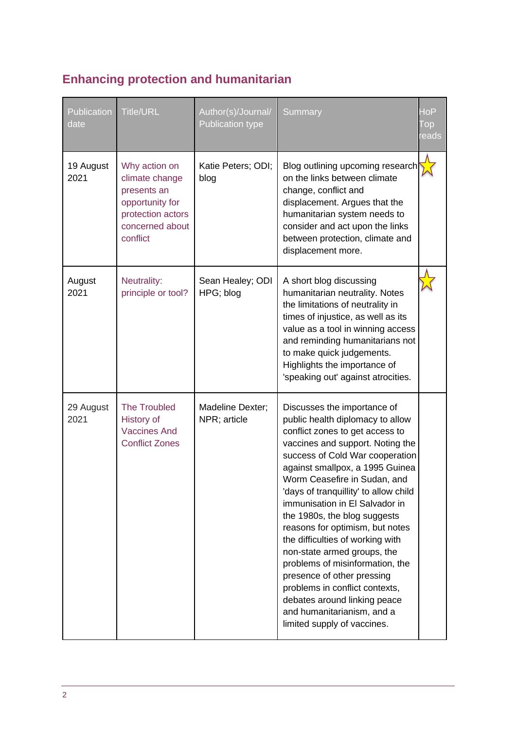## **Enhancing protection and humanitarian**

| Publication<br>date | <b>Title/URL</b>                                                                                                      | Author(s)/Journal/<br><b>Publication type</b> | Summary                                                                                                                                                                                                                                                                                                                                                                                                                                                                                                                                                                                                                                                       | $\overline{\mathsf{doP}}$<br>Top<br>eads |
|---------------------|-----------------------------------------------------------------------------------------------------------------------|-----------------------------------------------|---------------------------------------------------------------------------------------------------------------------------------------------------------------------------------------------------------------------------------------------------------------------------------------------------------------------------------------------------------------------------------------------------------------------------------------------------------------------------------------------------------------------------------------------------------------------------------------------------------------------------------------------------------------|------------------------------------------|
| 19 August<br>2021   | Why action on<br>climate change<br>presents an<br>opportunity for<br>protection actors<br>concerned about<br>conflict | Katie Peters; ODI;<br>blog                    | Blog outlining upcoming research<br>on the links between climate<br>change, conflict and<br>displacement. Argues that the<br>humanitarian system needs to<br>consider and act upon the links<br>between protection, climate and<br>displacement more.                                                                                                                                                                                                                                                                                                                                                                                                         |                                          |
| August<br>2021      | Neutrality:<br>principle or tool?                                                                                     | Sean Healey; ODI<br>HPG; blog                 | A short blog discussing<br>humanitarian neutrality. Notes<br>the limitations of neutrality in<br>times of injustice, as well as its<br>value as a tool in winning access<br>and reminding humanitarians not<br>to make quick judgements.<br>Highlights the importance of<br>'speaking out' against atrocities.                                                                                                                                                                                                                                                                                                                                                |                                          |
| 29 August<br>2021   | <b>The Troubled</b><br>History of<br><b>Vaccines And</b><br><b>Conflict Zones</b>                                     | Madeline Dexter;<br>NPR; article              | Discusses the importance of<br>public health diplomacy to allow<br>conflict zones to get access to<br>vaccines and support. Noting the<br>success of Cold War cooperation<br>against smallpox, a 1995 Guinea<br>Worm Ceasefire in Sudan, and<br>'days of tranquillity' to allow child<br>immunisation in El Salvador in<br>the 1980s, the blog suggests<br>reasons for optimism, but notes<br>the difficulties of working with<br>non-state armed groups, the<br>problems of misinformation, the<br>presence of other pressing<br>problems in conflict contexts,<br>debates around linking peace<br>and humanitarianism, and a<br>limited supply of vaccines. |                                          |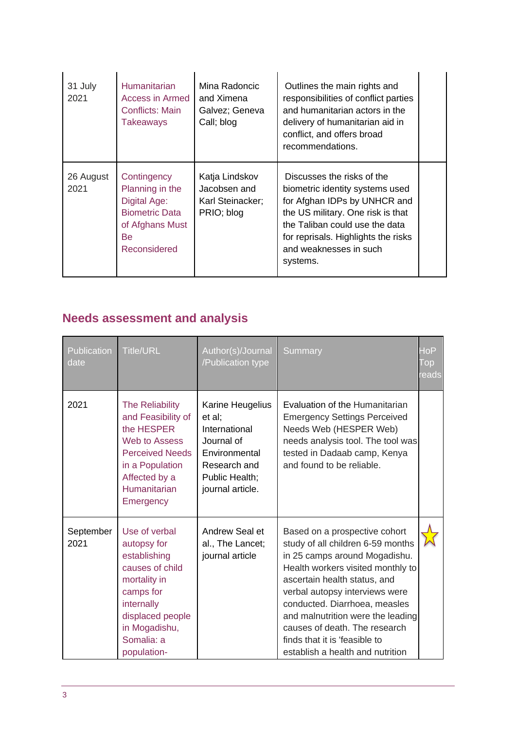| 31 July<br>2021   | <b>Humanitarian</b><br>Access in Armed<br>Conflicts: Main<br>Takeaways                                           | Mina Radoncic<br>and Ximena<br>Galvez; Geneva<br>Call; blog      | Outlines the main rights and<br>responsibilities of conflict parties<br>and humanitarian actors in the<br>delivery of humanitarian aid in<br>conflict, and offers broad<br>recommendations.                                                       |  |
|-------------------|------------------------------------------------------------------------------------------------------------------|------------------------------------------------------------------|---------------------------------------------------------------------------------------------------------------------------------------------------------------------------------------------------------------------------------------------------|--|
| 26 August<br>2021 | Contingency<br>Planning in the<br>Digital Age:<br><b>Biometric Data</b><br>of Afghans Must<br>Be<br>Reconsidered | Katja Lindskov<br>Jacobsen and<br>Karl Steinacker;<br>PRIO; blog | Discusses the risks of the<br>biometric identity systems used<br>for Afghan IDPs by UNHCR and<br>the US military. One risk is that<br>the Taliban could use the data<br>for reprisals. Highlights the risks<br>and weaknesses in such<br>systems. |  |

## <span id="page-2-0"></span>**Needs assessment and analysis**

| Publication<br>date | <b>Title/URL</b>                                                                                                                                                             | Author(s)/Journal<br>/Publication type                                                                                           | Summary                                                                                                                                                                                                                                                                                                                                                                                | $\mathsf{doP}$<br>l op<br><b>reads</b> |
|---------------------|------------------------------------------------------------------------------------------------------------------------------------------------------------------------------|----------------------------------------------------------------------------------------------------------------------------------|----------------------------------------------------------------------------------------------------------------------------------------------------------------------------------------------------------------------------------------------------------------------------------------------------------------------------------------------------------------------------------------|----------------------------------------|
| 2021                | <b>The Reliability</b><br>and Feasibility of<br>the HESPER<br>Web to Assess<br><b>Perceived Needs</b><br>in a Population<br>Affected by a<br>Humanitarian<br>Emergency       | Karine Heugelius<br>et al:<br>International<br>Journal of<br>Environmental<br>Research and<br>Public Health;<br>journal article. | Evaluation of the Humanitarian<br><b>Emergency Settings Perceived</b><br>Needs Web (HESPER Web)<br>needs analysis tool. The tool was<br>tested in Dadaab camp, Kenya<br>and found to be reliable.                                                                                                                                                                                      |                                        |
| September<br>2021   | Use of verbal<br>autopsy for<br>establishing<br>causes of child<br>mortality in<br>camps for<br>internally<br>displaced people<br>in Mogadishu,<br>Somalia: a<br>population- | Andrew Seal et<br>al., The Lancet;<br>journal article                                                                            | Based on a prospective cohort<br>study of all children 6-59 months<br>in 25 camps around Mogadishu.<br>Health workers visited monthly to<br>ascertain health status, and<br>verbal autopsy interviews were<br>conducted. Diarrhoea, measles<br>and malnutrition were the leading<br>causes of death. The research<br>finds that it is 'feasible to<br>establish a health and nutrition |                                        |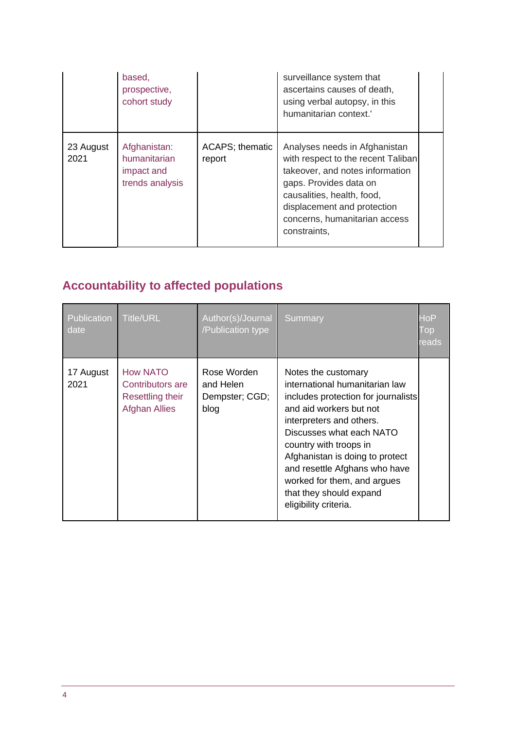|                   | based,<br>prospective,<br>cohort study                        |                                   | surveillance system that<br>ascertains causes of death,<br>using verbal autopsy, in this<br>humanitarian context.'                                                                                                                             |  |
|-------------------|---------------------------------------------------------------|-----------------------------------|------------------------------------------------------------------------------------------------------------------------------------------------------------------------------------------------------------------------------------------------|--|
| 23 August<br>2021 | Afghanistan:<br>humanitarian<br>impact and<br>trends analysis | <b>ACAPS</b> ; thematic<br>report | Analyses needs in Afghanistan<br>with respect to the recent Taliban<br>takeover, and notes information<br>gaps. Provides data on<br>causalities, health, food,<br>displacement and protection<br>concerns, humanitarian access<br>constraints, |  |

# <span id="page-3-0"></span>**Accountability to affected populations**

<span id="page-3-1"></span>

| Publication<br>date | <b>Title/URL</b>                                                                | Author(s)/Journal<br>/Publication type             | Summary                                                                                                                                                                                                                                                                                                                                                          | HoP<br>I op<br>reads |
|---------------------|---------------------------------------------------------------------------------|----------------------------------------------------|------------------------------------------------------------------------------------------------------------------------------------------------------------------------------------------------------------------------------------------------------------------------------------------------------------------------------------------------------------------|----------------------|
| 17 August<br>2021   | <b>How NATO</b><br>Contributors are<br>Resettling their<br><b>Afghan Allies</b> | Rose Worden<br>and Helen<br>Dempster; CGD;<br>blog | Notes the customary<br>international humanitarian law<br>includes protection for journalists<br>and aid workers but not<br>interpreters and others.<br>Discusses what each NATO<br>country with troops in<br>Afghanistan is doing to protect<br>and resettle Afghans who have<br>worked for them, and argues<br>that they should expand<br>eligibility criteria. |                      |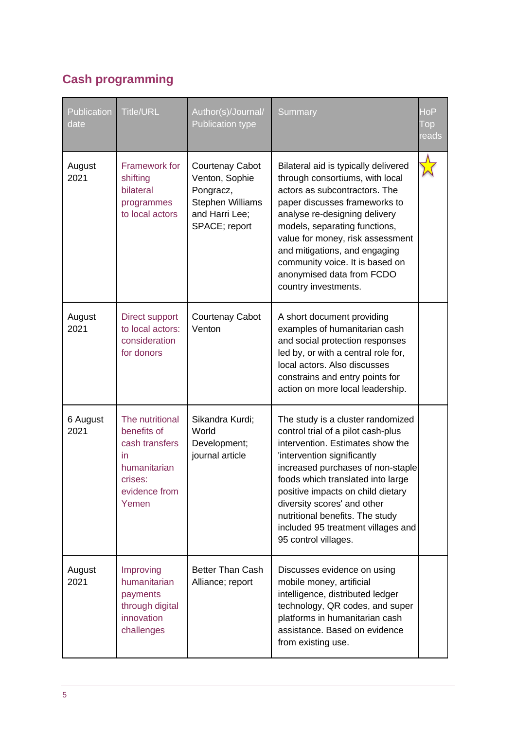### **Cash programming**

| Publication<br>date | <b>Title/URL</b>                                                                                            | Author(s)/Journal/<br><b>Publication type</b>                                                                | Summary                                                                                                                                                                                                                                                                                                                                                                                   | HoP<br>Top<br>eads <sup>.</sup> |
|---------------------|-------------------------------------------------------------------------------------------------------------|--------------------------------------------------------------------------------------------------------------|-------------------------------------------------------------------------------------------------------------------------------------------------------------------------------------------------------------------------------------------------------------------------------------------------------------------------------------------------------------------------------------------|---------------------------------|
| August<br>2021      | Framework for<br>shifting<br>bilateral<br>programmes<br>to local actors                                     | <b>Courtenay Cabot</b><br>Venton, Sophie<br>Pongracz,<br>Stephen Williams<br>and Harri Lee;<br>SPACE; report | Bilateral aid is typically delivered<br>through consortiums, with local<br>actors as subcontractors. The<br>paper discusses frameworks to<br>analyse re-designing delivery<br>models, separating functions,<br>value for money, risk assessment<br>and mitigations, and engaging<br>community voice. It is based on<br>anonymised data from FCDO<br>country investments.                  |                                 |
| August<br>2021      | <b>Direct support</b><br>to local actors:<br>consideration<br>for donors                                    | <b>Courtenay Cabot</b><br>Venton                                                                             | A short document providing<br>examples of humanitarian cash<br>and social protection responses<br>led by, or with a central role for,<br>local actors. Also discusses<br>constrains and entry points for<br>action on more local leadership.                                                                                                                                              |                                 |
| 6 August<br>2021    | The nutritional<br>benefits of<br>cash transfers<br>in<br>humanitarian<br>crises:<br>evidence from<br>Yemen | Sikandra Kurdi;<br>World<br>Development;<br>journal article                                                  | The study is a cluster randomized<br>control trial of a pilot cash-plus<br>intervention. Estimates show the<br>'intervention significantly<br>increased purchases of non-staple<br>foods which translated into large<br>positive impacts on child dietary<br>diversity scores' and other<br>nutritional benefits. The study<br>included 95 treatment villages and<br>95 control villages. |                                 |
| August<br>2021      | Improving<br>humanitarian<br>payments<br>through digital<br>innovation<br>challenges                        | <b>Better Than Cash</b><br>Alliance; report                                                                  | Discusses evidence on using<br>mobile money, artificial<br>intelligence, distributed ledger<br>technology, QR codes, and super<br>platforms in humanitarian cash<br>assistance. Based on evidence<br>from existing use.                                                                                                                                                                   |                                 |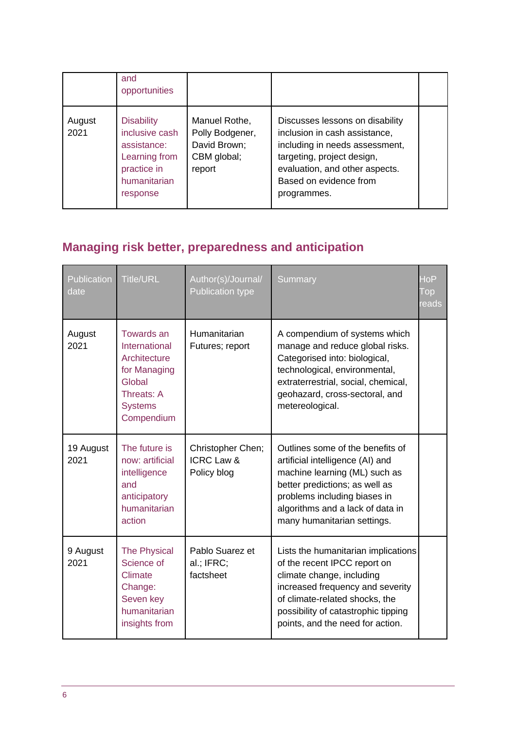|                | and<br>opportunities                                                                                           |                                                                           |                                                                                                                                                                                                             |  |
|----------------|----------------------------------------------------------------------------------------------------------------|---------------------------------------------------------------------------|-------------------------------------------------------------------------------------------------------------------------------------------------------------------------------------------------------------|--|
| August<br>2021 | <b>Disability</b><br>inclusive cash<br>assistance:<br>Learning from<br>practice in<br>humanitarian<br>response | Manuel Rothe,<br>Polly Bodgener,<br>David Brown;<br>CBM global;<br>report | Discusses lessons on disability<br>inclusion in cash assistance,<br>including in needs assessment,<br>targeting, project design,<br>evaluation, and other aspects.<br>Based on evidence from<br>programmes. |  |

# <span id="page-5-0"></span>**Managing risk better, preparedness and anticipation**

| Publication<br>date | <b>Title/URL</b>                                                                                                    | Author(s)/Journal/<br><b>Publication type</b>             | Summary                                                                                                                                                                                                                                           | $Ho\overline{P}$<br>Top<br>reads |
|---------------------|---------------------------------------------------------------------------------------------------------------------|-----------------------------------------------------------|---------------------------------------------------------------------------------------------------------------------------------------------------------------------------------------------------------------------------------------------------|----------------------------------|
| August<br>2021      | Towards an<br>International<br>Architecture<br>for Managing<br>Global<br>Threats: A<br><b>Systems</b><br>Compendium | Humanitarian<br>Futures; report                           | A compendium of systems which<br>manage and reduce global risks.<br>Categorised into: biological,<br>technological, environmental,<br>extraterrestrial, social, chemical,<br>geohazard, cross-sectoral, and<br>metereological.                    |                                  |
| 19 August<br>2021   | The future is<br>now: artificial<br>intelligence<br>and<br>anticipatory<br>humanitarian<br>action                   | Christopher Chen;<br><b>ICRC Law &amp;</b><br>Policy blog | Outlines some of the benefits of<br>artificial intelligence (AI) and<br>machine learning (ML) such as<br>better predictions; as well as<br>problems including biases in<br>algorithms and a lack of data in<br>many humanitarian settings.        |                                  |
| 9 August<br>2021    | <b>The Physical</b><br>Science of<br>Climate<br>Change:<br>Seven key<br>humanitarian<br>insights from               | Pablo Suarez et<br>al.; IFRC;<br>factsheet                | Lists the humanitarian implications<br>of the recent IPCC report on<br>climate change, including<br>increased frequency and severity<br>of climate-related shocks, the<br>possibility of catastrophic tipping<br>points, and the need for action. |                                  |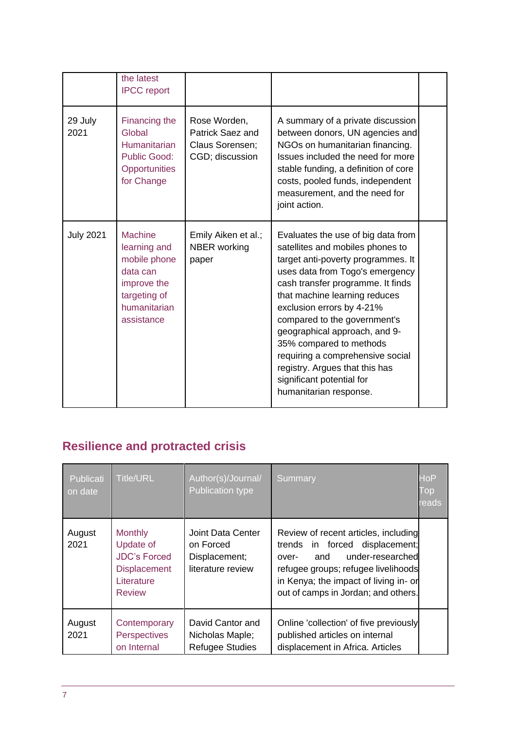|                  | the latest<br><b>IPCC</b> report                                                                                 |                                                                        |                                                                                                                                                                                                                                                                                                                                                                                                                                                                             |  |
|------------------|------------------------------------------------------------------------------------------------------------------|------------------------------------------------------------------------|-----------------------------------------------------------------------------------------------------------------------------------------------------------------------------------------------------------------------------------------------------------------------------------------------------------------------------------------------------------------------------------------------------------------------------------------------------------------------------|--|
| 29 July<br>2021  | Financing the<br>Global<br><b>Humanitarian</b><br><b>Public Good:</b><br>Opportunities<br>for Change             | Rose Worden,<br>Patrick Saez and<br>Claus Sorensen;<br>CGD; discussion | A summary of a private discussion<br>between donors, UN agencies and<br>NGOs on humanitarian financing.<br>Issues included the need for more<br>stable funding, a definition of core<br>costs, pooled funds, independent<br>measurement, and the need for<br>joint action.                                                                                                                                                                                                  |  |
| <b>July 2021</b> | Machine<br>learning and<br>mobile phone<br>data can<br>improve the<br>targeting of<br>humanitarian<br>assistance | Emily Aiken et al.;<br><b>NBER</b> working<br>paper                    | Evaluates the use of big data from<br>satellites and mobiles phones to<br>target anti-poverty programmes. It<br>uses data from Togo's emergency<br>cash transfer programme. It finds<br>that machine learning reduces<br>exclusion errors by 4-21%<br>compared to the government's<br>geographical approach, and 9-<br>35% compared to methods<br>requiring a comprehensive social<br>registry. Argues that this has<br>significant potential for<br>humanitarian response. |  |

## <span id="page-6-0"></span>**Resilience and protracted crisis**

| Publicati<br>on date | <b>Title/URL</b>                                                                                         | Author(s)/Journal/<br><b>Publication type</b>                        | Summary                                                                                                                                                                                                                           | HoP<br>Top,<br>eads |
|----------------------|----------------------------------------------------------------------------------------------------------|----------------------------------------------------------------------|-----------------------------------------------------------------------------------------------------------------------------------------------------------------------------------------------------------------------------------|---------------------|
| August<br>2021       | <b>Monthly</b><br>Update of<br><b>JDC's Forced</b><br><b>Displacement</b><br>Literature<br><b>Review</b> | Joint Data Center<br>on Forced<br>Displacement;<br>literature review | Review of recent articles, including<br>trends in forced displacement;<br>under-researched<br>and<br>over-<br>refugee groups; refugee livelihoods<br>in Kenya; the impact of living in- or<br>out of camps in Jordan; and others. |                     |
| August<br>2021       | Contemporary<br><b>Perspectives</b><br>on Internal                                                       | David Cantor and<br>Nicholas Maple;<br><b>Refugee Studies</b>        | Online 'collection' of five previously<br>published articles on internal<br>displacement in Africa. Articles                                                                                                                      |                     |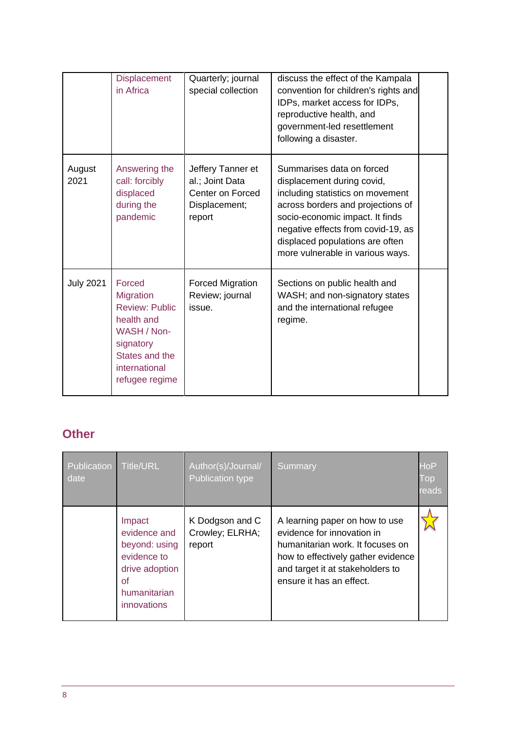|                  | <b>Displacement</b><br>in Africa                                                                                                                   | Quarterly; journal<br>special collection                                            | discuss the effect of the Kampala<br>convention for children's rights and<br>IDPs, market access for IDPs,<br>reproductive health, and<br>government-led resettlement<br>following a disaster.                                                                                   |  |
|------------------|----------------------------------------------------------------------------------------------------------------------------------------------------|-------------------------------------------------------------------------------------|----------------------------------------------------------------------------------------------------------------------------------------------------------------------------------------------------------------------------------------------------------------------------------|--|
| August<br>2021   | Answering the<br>call: forcibly<br>displaced<br>during the<br>pandemic                                                                             | Jeffery Tanner et<br>al.; Joint Data<br>Center on Forced<br>Displacement;<br>report | Summarises data on forced<br>displacement during covid,<br>including statistics on movement<br>across borders and projections of<br>socio-economic impact. It finds<br>negative effects from covid-19, as<br>displaced populations are often<br>more vulnerable in various ways. |  |
| <b>July 2021</b> | Forced<br><b>Migration</b><br><b>Review: Public</b><br>health and<br>WASH / Non-<br>signatory<br>States and the<br>international<br>refugee regime | <b>Forced Migration</b><br>Review; journal<br>issue.                                | Sections on public health and<br>WASH; and non-signatory states<br>and the international refugee<br>regime.                                                                                                                                                                      |  |

#### <span id="page-7-0"></span>**Other**

| Publication<br>date | <b>Title/URL</b>                                                                                                     | Author(s)/Journal/<br><b>Publication type</b> | Summary                                                                                                                                                                                                | <b>HoP</b><br>Top<br>reads |
|---------------------|----------------------------------------------------------------------------------------------------------------------|-----------------------------------------------|--------------------------------------------------------------------------------------------------------------------------------------------------------------------------------------------------------|----------------------------|
|                     | Impact<br>evidence and<br>beyond: using<br>evidence to<br>drive adoption<br><b>of</b><br>humanitarian<br>innovations | K Dodgson and C<br>Crowley; ELRHA;<br>report  | A learning paper on how to use<br>evidence for innovation in<br>humanitarian work. It focuses on<br>how to effectively gather evidence<br>and target it at stakeholders to<br>ensure it has an effect. |                            |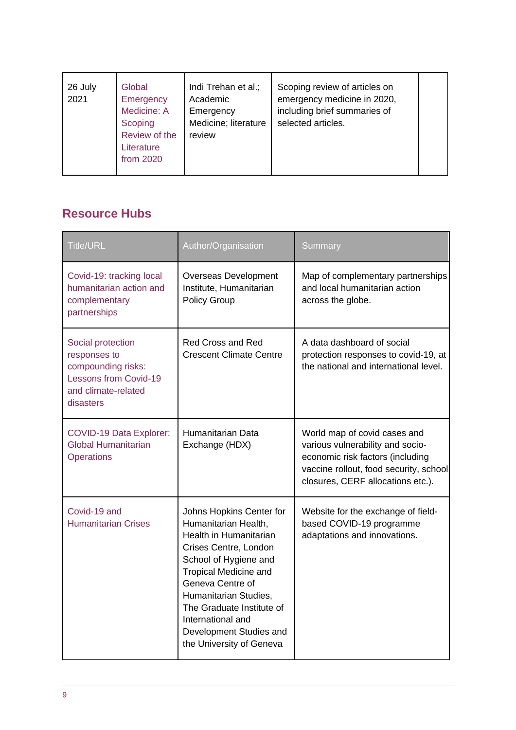| Global<br>26 July<br>2021<br>Academic<br>Emergency<br>Medicine: A<br>Emergency<br>Scoping<br>Review of the<br>review<br>Literature<br>from 2020 | Indi Trehan et al.;<br>Scoping review of articles on<br>emergency medicine in 2020,<br>including brief summaries of<br>Medicine; literature<br>selected articles. |
|-------------------------------------------------------------------------------------------------------------------------------------------------|-------------------------------------------------------------------------------------------------------------------------------------------------------------------|
|-------------------------------------------------------------------------------------------------------------------------------------------------|-------------------------------------------------------------------------------------------------------------------------------------------------------------------|

#### <span id="page-8-0"></span>**Resource Hubs**

| <b>Title/URL</b>                                                                                                            | Author/Organisation                                                                                                                                                                                                                                                                                                | <b>Summary</b>                                                                                                                                                                      |
|-----------------------------------------------------------------------------------------------------------------------------|--------------------------------------------------------------------------------------------------------------------------------------------------------------------------------------------------------------------------------------------------------------------------------------------------------------------|-------------------------------------------------------------------------------------------------------------------------------------------------------------------------------------|
| Covid-19: tracking local<br>humanitarian action and<br>complementary<br>partnerships                                        | Overseas Development<br>Institute, Humanitarian<br><b>Policy Group</b>                                                                                                                                                                                                                                             | Map of complementary partnerships<br>and local humanitarian action<br>across the globe.                                                                                             |
| Social protection<br>responses to<br>compounding risks:<br><b>Lessons from Covid-19</b><br>and climate-related<br>disasters | <b>Red Cross and Red</b><br><b>Crescent Climate Centre</b>                                                                                                                                                                                                                                                         | A data dashboard of social<br>protection responses to covid-19, at<br>the national and international level.                                                                         |
| <b>COVID-19 Data Explorer:</b><br><b>Global Humanitarian</b><br><b>Operations</b>                                           | Humanitarian Data<br>Exchange (HDX)                                                                                                                                                                                                                                                                                | World map of covid cases and<br>various vulnerability and socio-<br>economic risk factors (including<br>vaccine rollout, food security, school<br>closures, CERF allocations etc.). |
| Covid-19 and<br><b>Humanitarian Crises</b>                                                                                  | Johns Hopkins Center for<br>Humanitarian Health,<br>Health in Humanitarian<br>Crises Centre, London<br>School of Hygiene and<br><b>Tropical Medicine and</b><br>Geneva Centre of<br>Humanitarian Studies,<br>The Graduate Institute of<br>International and<br>Development Studies and<br>the University of Geneva | Website for the exchange of field-<br>based COVID-19 programme<br>adaptations and innovations.                                                                                      |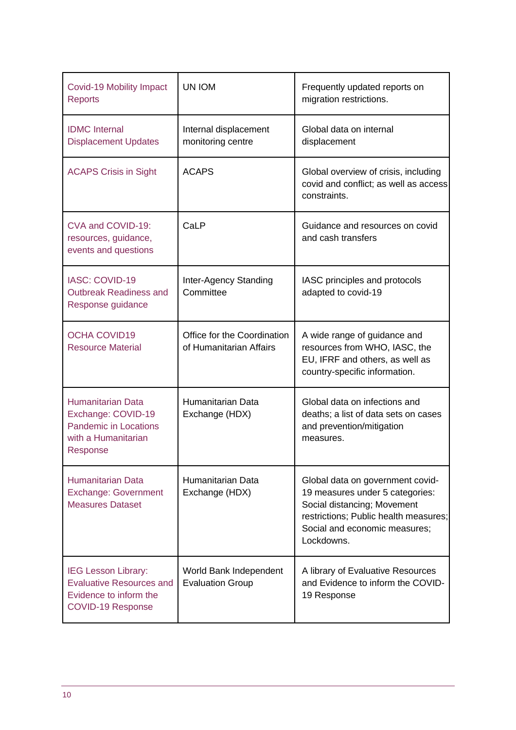| Covid-19 Mobility Impact<br><b>Reports</b>                                                                          | UN IOM                                                 | Frequently updated reports on<br>migration restrictions.                                                                                                                                   |
|---------------------------------------------------------------------------------------------------------------------|--------------------------------------------------------|--------------------------------------------------------------------------------------------------------------------------------------------------------------------------------------------|
| <b>IDMC</b> Internal<br><b>Displacement Updates</b>                                                                 | Internal displacement<br>monitoring centre             | Global data on internal<br>displacement                                                                                                                                                    |
| <b>ACAPS Crisis in Sight</b>                                                                                        | <b>ACAPS</b>                                           | Global overview of crisis, including<br>covid and conflict; as well as access<br>constraints.                                                                                              |
| CVA and COVID-19:<br>resources, guidance,<br>events and questions                                                   | CaLP                                                   | Guidance and resources on covid<br>and cash transfers                                                                                                                                      |
| <b>IASC: COVID-19</b><br><b>Outbreak Readiness and</b><br>Response guidance                                         | Inter-Agency Standing<br>Committee                     | IASC principles and protocols<br>adapted to covid-19                                                                                                                                       |
| <b>OCHA COVID19</b><br><b>Resource Material</b>                                                                     | Office for the Coordination<br>of Humanitarian Affairs | A wide range of guidance and<br>resources from WHO, IASC, the<br>EU, IFRF and others, as well as<br>country-specific information.                                                          |
| <b>Humanitarian Data</b><br>Exchange: COVID-19<br>Pandemic in Locations<br>with a Humanitarian<br>Response          | Humanitarian Data<br>Exchange (HDX)                    | Global data on infections and<br>deaths; a list of data sets on cases<br>and prevention/mitigation<br>measures.                                                                            |
| <b>Humanitarian Data</b><br><b>Exchange: Government</b><br><b>Measures Dataset</b>                                  | Humanitarian Data<br>Exchange (HDX)                    | Global data on government covid-<br>19 measures under 5 categories:<br>Social distancing; Movement<br>restrictions; Public health measures;<br>Social and economic measures;<br>Lockdowns. |
| <b>IEG Lesson Library:</b><br><b>Evaluative Resources and</b><br>Evidence to inform the<br><b>COVID-19 Response</b> | World Bank Independent<br><b>Evaluation Group</b>      | A library of Evaluative Resources<br>and Evidence to inform the COVID-<br>19 Response                                                                                                      |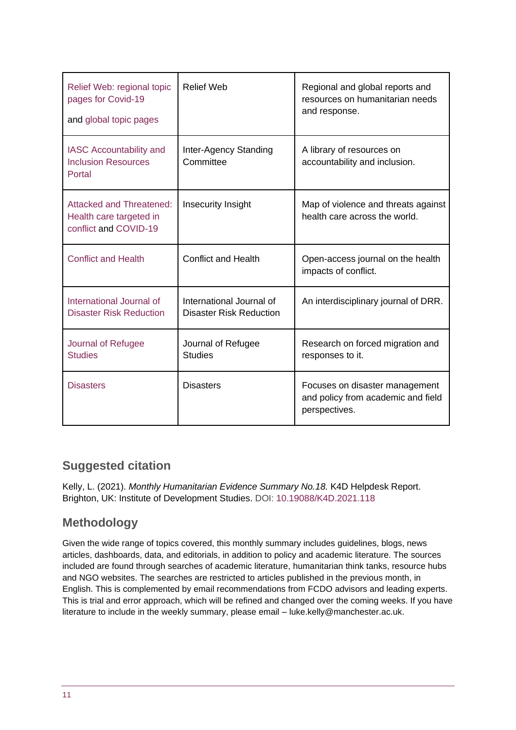| Relief Web: regional topic<br>pages for Covid-19<br>and global topic pages          | <b>Relief Web</b>                                   | Regional and global reports and<br>resources on humanitarian needs<br>and response.   |
|-------------------------------------------------------------------------------------|-----------------------------------------------------|---------------------------------------------------------------------------------------|
| <b>IASC Accountability and</b><br><b>Inclusion Resources</b><br>Portal              | Inter-Agency Standing<br>Committee                  | A library of resources on<br>accountability and inclusion.                            |
| <b>Attacked and Threatened:</b><br>Health care targeted in<br>conflict and COVID-19 | Insecurity Insight                                  | Map of violence and threats against<br>health care across the world.                  |
| <b>Conflict and Health</b>                                                          | <b>Conflict and Health</b>                          | Open-access journal on the health<br>impacts of conflict.                             |
| International Journal of<br><b>Disaster Risk Reduction</b>                          | International Journal of<br>Disaster Risk Reduction | An interdisciplinary journal of DRR.                                                  |
| Journal of Refugee<br><b>Studies</b>                                                | Journal of Refugee<br><b>Studies</b>                | Research on forced migration and<br>responses to it.                                  |
| <b>Disasters</b>                                                                    | <b>Disasters</b>                                    | Focuses on disaster management<br>and policy from academic and field<br>perspectives. |

#### **Suggested citation**

Kelly, L. (2021). *Monthly Humanitarian Evidence Summary No.18.* K4D Helpdesk Report. Brighton, UK: Institute of Development Studies. DOI: [10.19088/K4D.2021.118](https://doi.org/10.19088/K4D.2021.118)

#### **Methodology**

Given the wide range of topics covered, this monthly summary includes guidelines, blogs, news articles, dashboards, data, and editorials, in addition to policy and academic literature. The sources included are found through searches of academic literature, humanitarian think tanks, resource hubs and NGO websites. The searches are restricted to articles published in the previous month, in English. This is complemented by email recommendations from FCDO advisors and leading experts. This is trial and error approach, which will be refined and changed over the coming weeks. If you have literature to include in the weekly summary, please email – luke.kelly@manchester.ac.uk.